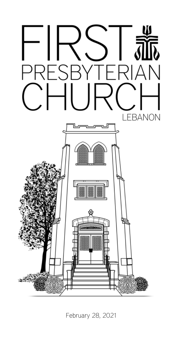

February 28, 2021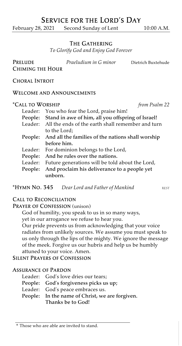# Service for the Lord's Day

February 28, 2021 Second Sunday of Lent 10:00 A.M.

## The Gathering

*To Glorify God and Enjoy God Forever*

Prelude *Praeludium in G minor* Dietrich Buxtehude Chiming the Hour

Choral Introit

#### Welcome and Announcements

#### \*Call to Worship *from Psalm 22*

- Leader: You who fear the Lord, praise him! People: Stand in awe of him, all you offspring of Israel! Leader: All the ends of the earth shall remember and turn to the Lord; People: And all the families of the nations shall worship before him. Leader: For dominion belongs to the Lord, People: And he rules over the nations. Leader: Future generations will be told about the Lord, People: And proclaim his deliverance to a people yet unborn.
- **\*HYMN NO. 345** *Dear Lord and Father of Mankind* REST

## Call to Reconciliation

### PRAYER OF CONFESSION (unison)

God of humility, you speak to us in so many ways,

yet in our arrogance we refuse to hear you.

Our pride prevents us from acknowledging that your voice radiates from unlikely sources. We assume you must speak to us only through the lips of the mighty. We ignore the message of the meek. Forgive us our hubris and help us be humbly attuned to your voice. Amen.

Silent Prayers of Confession

### Assurance of Pardon

- Leader: God's love dries our tears;
- People: God's forgiveness picks us up;
- Leader: God's peace embraces us.
- People: In the name of Christ, we are forgiven. Thanks be to God!

<sup>\*</sup> Those who are able are invited to stand.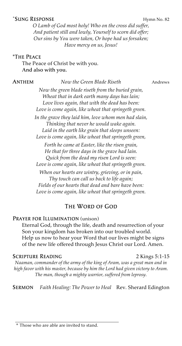## \*SUNG RESPONSE Hymn No. 82

*O Lamb of God most holy! Who on the cross did suffer, And patient still and lowly, Yourself to scorn did offer; Our sins by You were taken, Or hope had us forsaken; Have mercy on us, Jesus!*

#### \*The Peace

The Peace of Christ be with you. And also with you.

#### Anthem *Now the Green Blade Riseth* Andrews

*Now the green blade riseth from the buried grain, Wheat that in dark earth many days has lain; Love lives again, that with the dead has been: Love is come again, like wheat that springeth green.*

*In the grave they laid him, love whom men had slain, Thinking that never he would wake again. Laid in the earth like grain that sleeps unseen: Love is come again, like wheat that springeth green,*

*Forth he came at Easter, like the risen grain, He that for three days in the grave had lain. Quick from the dead my risen Lord is seen: Love is come again, like wheat that springeth green.*

*When our hearts are wintry, grieving, or in pain, Thy touch can call us back to life again; Fields of our hearts that dead and bare have been: Love is come again, like wheat that springeth green.*

### The Word of God

## PRAYER FOR ILLUMINATION (unison)

Eternal God, through the life, death and resurrection of your Son your kingdom has broken into our troubled world. Help us now to hear your Word that our lives might be signs of the new life offered through Jesus Christ our Lord. Amen.

#### SCRIPTURE READING 2 Kings 5:1-15

*Naaman, commander of the army of the king of Aram, was a great man and in high favor with his master, because by him the Lord had given victory to Aram. The man, though a mighty warrior, suffered from leprosy.*

Sermon *Faith Healing: The Power to Heal* Rev. Sherard Edington

#### \* Those who are able are invited to stand.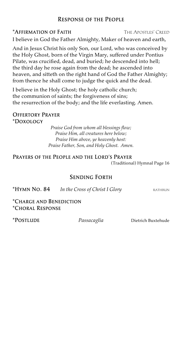## Response of the People

## \*Affirmation of Faith The Apostles' Creed

I believe in God the Father Almighty, Maker of heaven and earth,

And in Jesus Christ his only Son, our Lord, who was conceived by the Holy Ghost, born of the Virgin Mary, suffered under Pontius Pilate, was crucified, dead, and buried; he descended into hell; the third day he rose again from the dead; he ascended into heaven, and sitteth on the right hand of God the Father Almighty; from thence he shall come to judge the quick and the dead.

I believe in the Holy Ghost; the holy catholic church; the communion of saints; the forgiveness of sins; the resurrection of the body; and the life everlasting. Amen.

#### Offertory Prayer \*Doxology

*Praise God from whom all blessings flow; Praise Him, all creatures here below; Praise Him above, ye heavenly host: Praise Father, Son, and Holy Ghost. Amen.*

## Prayers of the People and the Lord's Prayer

(Traditional) Hymnal Page 16

## Sending Forth

\*Hymn No. 84 *In the Cross of Christ I Glory* rathbun

\*Charge and Benediction \*Choral Response

\*Postlude *Passacaglia* Dietrich Buxtehude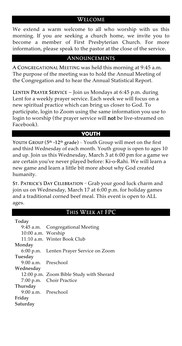## Welcome

We extend a warm welcome to all who worship with us this morning. If you are seeking a church home, we invite you to become a member of First Presbyterian Church. For more information, please speak to the pastor at the close of the service.

## Announcements

A CONGREGATIONAL MEETING was held this morning at 9:45 a.m. The purpose of the meeting was to hold the Annual Meeting of the Congregation and to hear the Annual Statistical Report.

Lenten Prayer Service – Join us Mondays at 6:45 p.m. during Lent for a weekly prayer service. Each week we will focus on a new spiritual practice which can bring us closer to God. To participate, login to Zoom using the same information you use to login to worship (the prayer service will **not** be live-streamed on Facebook).

## **YOUTH**

Youth Group (5<sup>th</sup> -12<sup>th</sup> grade) – Youth Group will meet on the first and third Wednesday of each month. Youth group is open to ages 10 and up. Join us this Wednesday, March 3 at 6:00 pm for a game we are certain you've never played before: Ki-o-Rahi. We will learn a new game and learn a little bit more about why God created humanity.

St. Patrick's Day Celebration – Grab your good luck charm and join us on Wednesday, March 17 at 6:00 p.m. for holiday games and a traditional corned beef meal. This event is open to ALL ages.

### This Week at FPC

| Today               |                                          |
|---------------------|------------------------------------------|
|                     | 9:45 a.m. Congregational Meeting         |
| 10:00 a.m. Worship  |                                          |
|                     | 11:10 a.m. Winter Book Club              |
| Monday              |                                          |
|                     | 6:00 p.m. Lenten Prayer Service on Zoom  |
| Tuesday             |                                          |
| 9:00 a.m. Preschool |                                          |
| Wednesday           |                                          |
|                     | 12:00 p.m. Zoom Bible Study with Sherard |
|                     | 7:00 p.m. Choir Practice                 |
| Thursday            |                                          |
| 9:00 a.m. Preschool |                                          |
| Friday              |                                          |
| Saturday            |                                          |
|                     |                                          |